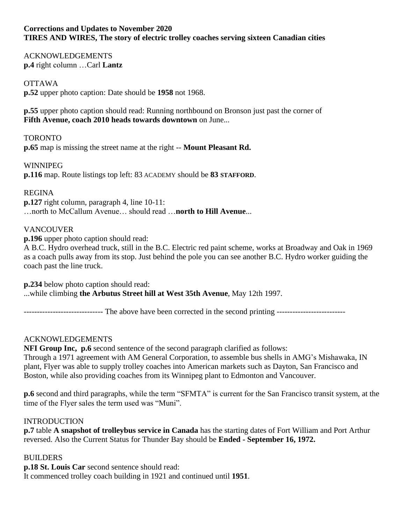### **Corrections and Updates to November 2020 TIRES AND WIRES, The story of electric trolley coaches serving sixteen Canadian cities**

### ACKNOWLEDGEMENTS **p.4** right column …Carl **Lantz**

## OTTAWA

**p.52** upper photo caption: Date should be **1958** not 1968.

**p.55** upper photo caption should read: Running northbound on Bronson just past the corner of **Fifth Avenue, coach 2010 heads towards downtown** on June...

TORONTO **p.65** map is missing the street name at the right -- **Mount Pleasant Rd.**

WINNIPEG **p.116** map. Route listings top left: 83 ACADEMY should be **83 STAFFORD**.

### REGINA

**p.127** right column, paragraph 4, line 10-11: …north to McCallum Avenue… should read …**north to Hill Avenue**...

### VANCOUVER

**p.196** upper photo caption should read:

A B.C. Hydro overhead truck, still in the B.C. Electric red paint scheme, works at Broadway and Oak in 1969 as a coach pulls away from its stop. Just behind the pole you can see another B.C. Hydro worker guiding the coach past the line truck.

**p.234** below photo caption should read: ...while climbing **the Arbutus Street hill at West 35th Avenue**, May 12th 1997.

--------------------------------- The above have been corrected in the second printing ------------------------

## ACKNOWLEDGEMENTS

**NFI Group Inc, p.6** second sentence of the second paragraph clarified as follows: Through a 1971 agreement with AM General Corporation, to assemble bus shells in AMG's Mishawaka, IN plant, Flyer was able to supply trolley coaches into American markets such as Dayton, San Francisco and Boston, while also providing coaches from its Winnipeg plant to Edmonton and Vancouver.

**p.6** second and third paragraphs, while the term "SFMTA" is current for the San Francisco transit system, at the time of the Flyer sales the term used was "Muni".

### INTRODUCTION

**p.7** table **A snapshot of trolleybus service in Canada** has the starting dates of Fort William and Port Arthur reversed. Also the Current Status for Thunder Bay should be **Ended - September 16, 1972.**

### BUILDERS

**p.18 St. Louis Car** second sentence should read: It commenced trolley coach building in 1921 and continued until **1951**.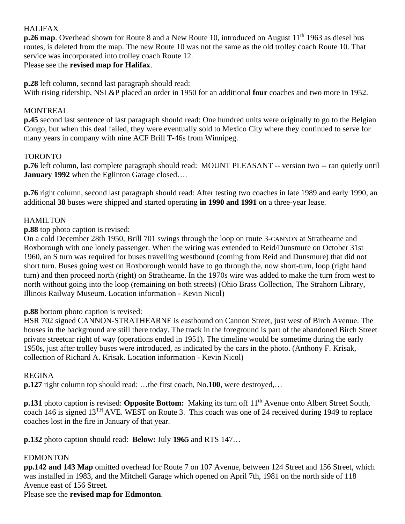## HALIFAX

**p.26 map**. Overhead shown for Route 8 and a New Route 10, introduced on August 11<sup>th</sup> 1963 as diesel bus routes, is deleted from the map. The new Route 10 was not the same as the old trolley coach Route 10. That service was incorporated into trolley coach Route 12.

Please see the **revised map for Halifax**.

**p.28** left column, second last paragraph should read:

With rising ridership, NSL&P placed an order in 1950 for an additional **four** coaches and two more in 1952.

## MONTREAL

**p.45** second last sentence of last paragraph should read: One hundred units were originally to go to the Belgian Congo, but when this deal failed, they were eventually sold to Mexico City where they continued to serve for many years in company with nine ACF Brill T-46s from Winnipeg.

## TORONTO

**p.76** left column, last complete paragraph should read: MOUNT PLEASANT -- version two -- ran quietly until **January 1992** when the Eglinton Garage closed….

**p.76** right column, second last paragraph should read: After testing two coaches in late 1989 and early 1990, an additional **38** buses were shipped and started operating **in 1990 and 1991** on a three-year lease.

# **HAMILTON**

**p.88** top photo caption is revised:

On a cold December 28th 1950, Brill 701 swings through the loop on route 3-CANNON at Strathearne and Roxborough with one lonely passenger. When the wiring was extended to Reid/Dunsmure on October 31st 1960, an S turn was required for buses travelling westbound (coming from Reid and Dunsmure) that did not short turn. Buses going west on Roxborough would have to go through the, now short-turn, loop (right hand turn) and then proceed north (right) on Strathearne. In the 1970s wire was added to make the turn from west to north without going into the loop (remaining on both streets) (Ohio Brass Collection, The Strahorn Library, Illinois Railway Museum. Location information - Kevin Nicol)

## **p.88** bottom photo caption is revised:

HSR 702 signed CANNON-STRATHEARNE is eastbound on Cannon Street, just west of Birch Avenue. The houses in the background are still there today. The track in the foreground is part of the abandoned Birch Street private streetcar right of way (operations ended in 1951). The timeline would be sometime during the early 1950s, just after trolley buses were introduced, as indicated by the cars in the photo. (Anthony F. Krisak, collection of Richard A. Krisak. Location information - Kevin Nicol)

## REGINA

**p.127** right column top should read: …the first coach, No.**100**, were destroyed,…

**p.131** photo caption is revised: **Opposite Bottom:** Making its turn off 11<sup>th</sup> Avenue onto Albert Street South, coach 146 is signed 13TH AVE. WEST on Route 3. This coach was one of 24 received during 1949 to replace coaches lost in the fire in January of that year.

**p.132** photo caption should read: **Below:** July **1965** and RTS 147…

# EDMONTON

**pp.142 and 143 Map** omitted overhead for Route 7 on 107 Avenue, between 124 Street and 156 Street, which was installed in 1983, and the Mitchell Garage which opened on April 7th, 1981 on the north side of 118 Avenue east of 156 Street.

Please see the **revised map for Edmonton**.